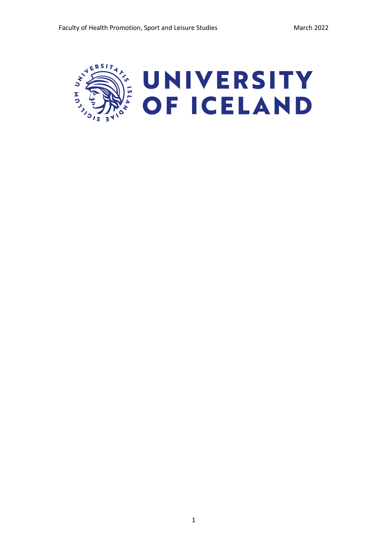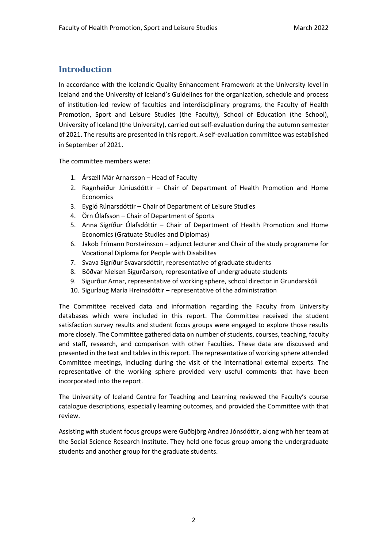# **Introduction**

In accordance with the Icelandic Quality Enhancement Framework at the University level in Iceland and the University of Iceland's Guidelines for the organization, schedule and process of institution-led review of faculties and interdisciplinary programs, the Faculty of Health Promotion, Sport and Leisure Studies (the Faculty), School of Education (the School), University of Iceland (the University), carried out self-evaluation during the autumn semester of 2021. The results are presented in this report. A self-evaluation committee was established in September of 2021.

The committee members were:

- 1. Ársæll Már Arnarsson Head of Faculty
- 2. Ragnheiður Júníusdóttir Chair of Department of Health Promotion and Home Economics
- 3. Eygló Rúnarsdóttir Chair of Department of Leisure Studies
- 4. Örn Ólafsson Chair of Department of Sports
- 5. Anna Sigríður Ólafsdóttir Chair of Department of Health Promotion and Home Economics (Gratuate Studies and Diplomas)
- 6. Jakob Frímann Þorsteinsson adjunct lecturer and Chair of the study programme for Vocational Diploma for People with Disabilites
- 7. Svava Sigríður Svavarsdóttir, representative of graduate students
- 8. Böðvar Nielsen Sigurðarson, representative of undergraduate students
- 9. Sigurður Arnar, representative of working sphere, school director in Grundarskóli
- 10. Sigurlaug María Hreinsdóttir representative of the administration

The Committee received data and information regarding the Faculty from University databases which were included in this report. The Committee received the student satisfaction survey results and student focus groups were engaged to explore those results more closely. The Committee gathered data on number of students, courses, teaching, faculty and staff, research, and comparison with other Faculties. These data are discussed and presented in the text and tables in this report. The representative of working sphere attended Committee meetings, including during the visit of the international external experts. The representative of the working sphere provided very useful comments that have been incorporated into the report.

The University of Iceland Centre for Teaching and Learning reviewed the Faculty's course catalogue descriptions, especially learning outcomes, and provided the Committee with that review.

Assisting with student focus groups were Guðbjörg Andrea Jónsdóttir, along with her team at the Social Science Research Institute. They held one focus group among the undergraduate students and another group for the graduate students.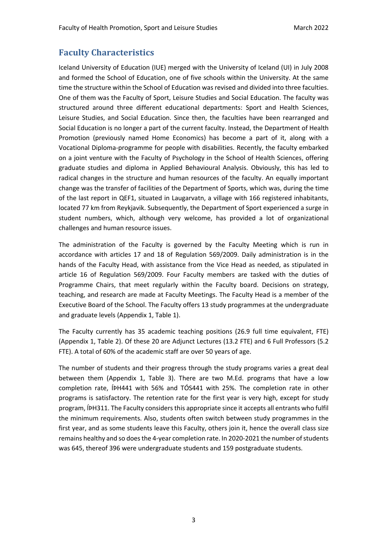# **Faculty Characteristics**

Iceland University of Education (IUE) merged with the University of Iceland (UI) in July 2008 and formed the School of Education, one of five schools within the University. At the same time the structure within the School of Education was revised and divided into three faculties. One of them was the Faculty of Sport, Leisure Studies and Social Education. The faculty was structured around three different educational departments: Sport and Health Sciences, Leisure Studies, and Social Education. Since then, the faculties have been rearranged and Social Education is no longer a part of the current faculty. Instead, the Department of Health Promotion (previously named Home Economics) has become a part of it, along with a Vocational Diploma-programme for people with disabilities. Recently, the faculty embarked on a joint venture with the Faculty of Psychology in the School of Health Sciences, offering graduate studies and diploma in Applied Behavioural Analysis. Obviously, this has led to radical changes in the structure and human resources of the faculty. An equally important change was the transfer of facilities of the Department of Sports, which was, during the time of the last report in QEF1, situated in Laugarvatn, a village with 166 registered inhabitants, located 77 km from Reykjavik. Subsequently, the Department of Sport experienced a surge in student numbers, which, although very welcome, has provided a lot of organizational challenges and human resource issues.

The administration of the Faculty is governed by the Faculty Meeting which is run in accordance with articles 17 and 18 of Regulation 569/2009. Daily administration is in the hands of the Faculty Head, with assistance from the Vice Head as needed, as stipulated in article 16 of Regulation 569/2009. Four Faculty members are tasked with the duties of Programme Chairs, that meet regularly within the Faculty board. Decisions on strategy, teaching, and research are made at Faculty Meetings. The Faculty Head is a member of the Executive Board of the School. The Faculty offers 13 study programmes at the undergraduate and graduate levels (Appendix 1, Table 1).

The Faculty currently has 35 academic teaching positions (26.9 full time equivalent, FTE) (Appendix 1, Table 2). Of these 20 are Adjunct Lectures (13.2 FTE) and 6 Full Professors (5.2 FTE). A total of 60% of the academic staff are over 50 years of age.

The number of students and their progress through the study programs varies a great deal between them (Appendix 1, Table 3). There are two M.Ed. programs that have a low completion rate, ÍÞH441 with 56% and TÓS441 with 25%. The completion rate in other programs is satisfactory. The retention rate for the first year is very high, except for study program, ÍÞH311. The Faculty considers this appropriate since it accepts all entrants who fulfil the minimum requirements. Also, students often switch between study programmes in the first year, and as some students leave this Faculty, others join it, hence the overall class size remains healthy and so does the 4-year completion rate. In 2020-2021 the number of students was 645, thereof 396 were undergraduate students and 159 postgraduate students.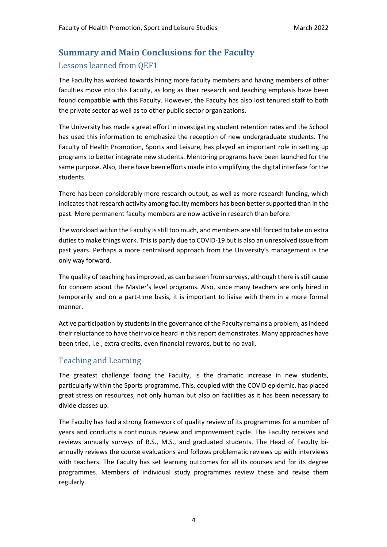# **Summary and Main Conclusions for the Faculty**

# Lessons learned from QEF1

The Faculty has worked towards hiring more faculty members and having members of other faculties move into this Faculty, as long as their research and teaching emphasis have been found compatible with this Faculty. However, the Faculty has also lost tenured staff to both the private sector as well as to other public sector organizations.

The University has made a great effort in investigating student retention rates and the School has used this information to emphasize the reception of new undergraduate students. The Faculty of Health Promotion, Sports and Leisure, has played an important role in setting up programs to better integrate new students. Mentoring programs have been launched for the same purpose. Also, there have been efforts made into simplifying the digital interface for the students.

There has been considerably more research output, as well as more research funding, which indicates that research activity among faculty members has been better supported than in the past. More permanent faculty members are now active in research than before.

The workload within the Faculty is still too much, and members are still forced to take on extra duties to make things work. This is partly due to COVID-19 but is also an unresolved issue from past years. Perhaps a more centralised approach from the University's management is the only way forward.

The quality of teaching has improved, as can be seen from surveys, although there is still cause for concern about the Master's level programs. Also, since many teachers are only hired in temporarily and on a part-time basis, it is important to liaise with them in a more formal manner.

Active participation by students in the governance of the Faculty remains a problem, as indeed their reluctance to have their voice heard in this report demonstrates. Many approaches have been tried, i.e., extra credits, even financial rewards, but to no avail.

# Teaching and Learning

The greatest challenge facing the Faculty, is the dramatic increase in new students, particularly within the Sports programme. This, coupled with the COVID epidemic, has placed great stress on resources, not only human but also on facilities as it has been necessary to divide classes up.

The Faculty has had a strong framework of quality review of its programmes for a number of years and conducts a continuous review and improvement cycle. The Faculty receives and reviews annually surveys of B.S., M.S., and graduated students. The Head of Faculty biannually reviews the course evaluations and follows problematic reviews up with interviews with teachers. The Faculty has set learning outcomes for all its courses and for its degree programmes. Members of individual study programmes review these and revise them regularly.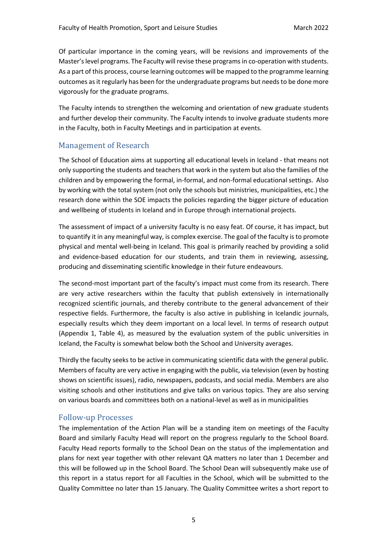Of particular importance in the coming years, will be revisions and improvements of the Master's level programs. The Faculty will revise these programs in co-operation with students. As a part of this process, course learning outcomes will be mapped to the programme learning outcomes as it regularly has been for the undergraduate programs but needs to be done more vigorously for the graduate programs.

The Faculty intends to strengthen the welcoming and orientation of new graduate students and further develop their community. The Faculty intends to involve graduate students more in the Faculty, both in Faculty Meetings and in participation at events.

## Management of Research

The School of Education aims at supporting all educational levels in Iceland - that means not only supporting the students and teachers that work in the system but also the families of the children and by empowering the formal, in-formal, and non-formal educational settings. Also by working with the total system (not only the schools but ministries, municipalities, etc.) the research done within the SOE impacts the policies regarding the bigger picture of education and wellbeing of students in Iceland and in Europe through international projects.

The assessment of impact of a university faculty is no easy feat. Of course, it has impact, but to quantify it in any meaningful way, is complex exercise. The goal of the faculty is to promote physical and mental well-being in Iceland. This goal is primarily reached by providing a solid and evidence-based education for our students, and train them in reviewing, assessing, producing and disseminating scientific knowledge in their future endeavours.

The second-most important part of the faculty's impact must come from its research. There are very active researchers within the faculty that publish extensively in internationally recognized scientific journals, and thereby contribute to the general advancement of their respective fields. Furthermore, the faculty is also active in publishing in Icelandic journals, especially results which they deem important on a local level. In terms of research output (Appendix 1, Table 4), as measured by the evaluation system of the public universities in Iceland, the Faculty is somewhat below both the School and University averages.

Thirdly the faculty seeks to be active in communicating scientific data with the general public. Members of faculty are very active in engaging with the public, via television (even by hosting shows on scientific issues), radio, newspapers, podcasts, and social media. Members are also visiting schools and other institutions and give talks on various topics. They are also serving on various boards and committees both on a national-level as well as in municipalities

## Follow-up Processes

The implementation of the Action Plan will be a standing item on meetings of the Faculty Board and similarly Faculty Head will report on the progress regularly to the School Board. Faculty Head reports formally to the School Dean on the status of the implementation and plans for next year together with other relevant QA matters no later than 1 December and this will be followed up in the School Board. The School Dean will subsequently make use of this report in a status report for all Faculties in the School, which will be submitted to the Quality Committee no later than 15 January. The Quality Committee writes a short report to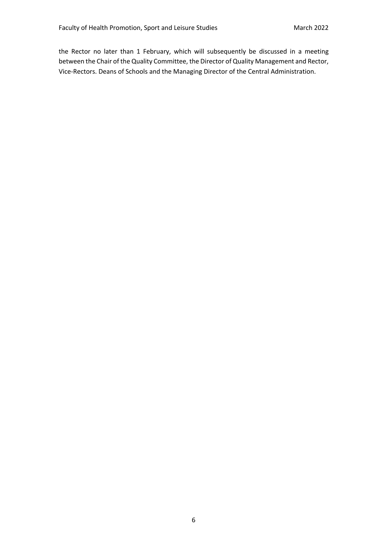the Rector no later than 1 February, which will subsequently be discussed in a meeting between the Chair of the Quality Committee, the Director of Quality Management and Rector, Vice-Rectors. Deans of Schools and the Managing Director of the Central Administration.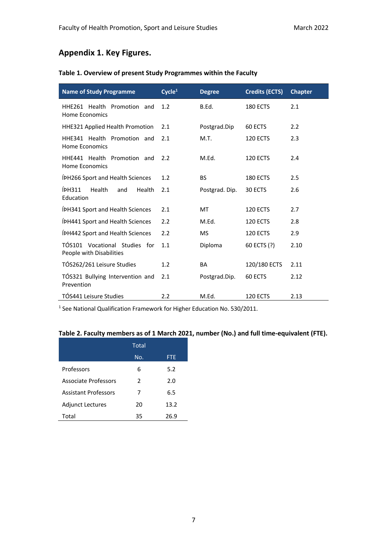# **Appendix 1. Key Figures.**

### **Table 1. Overview of present Study Programmes within the Faculty**

| <b>Name of Study Programme</b>                            | Cycle <sup>1</sup> | <b>Degree</b>  | <b>Credits (ECTS)</b> | <b>Chapter</b> |
|-----------------------------------------------------------|--------------------|----------------|-----------------------|----------------|
| HHE261 Health Promotion and<br>Home Economics             | 1.2                | B.Ed.          | <b>180 ECTS</b>       | 2.1            |
| HHE321 Applied Health Promotion                           | 2.1                | Postgrad.Dip   | 60 ECTS               | 2.2            |
| HHE341 Health Promotion and<br>Home Economics             | 2.1                | M.T.           | <b>120 ECTS</b>       | 2.3            |
| HHE441 Health Promotion and<br>Home Economics             | 2.2                | M.Ed.          | <b>120 ECTS</b>       | 2.4            |
| ÍPH266 Sport and Health Sciences                          | 1.2                | <b>BS</b>      | 180 ECTS              | 2.5            |
| ÍPH311<br>Health<br>and<br><b>Health</b><br>Education     | 2.1                | Postgrad. Dip. | 30 ECTS               | 2.6            |
| ÍPH341 Sport and Health Sciences                          | 2.1                | MT             | <b>120 ECTS</b>       | 2.7            |
| ÍPH441 Sport and Health Sciences                          | 2.2                | M.Ed.          | 120 ECTS              | 2.8            |
| ÍPH442 Sport and Health Sciences                          | 2.2                | <b>MS</b>      | 120 ECTS              | 2.9            |
| TÓS101 Vocational Studies for<br>People with Disabilities | 1.1                | Diploma        | 60 ECTS (?)           | 2.10           |
| TÓS262/261 Leisure Studies                                | 1.2                | <b>BA</b>      | 120/180 ECTS          | 2.11           |
| TÓS321 Bullying Intervention and<br>Prevention            | 2.1                | Postgrad.Dip.  | 60 ECTS               | 2.12           |
| TÓS441 Leisure Studies                                    | 2.2                | M.Ed.          | 120 ECTS              | 2.13           |

<sup>1</sup> See National Qualification Framework for Higher Education No. 530/2011.

# **Table 2. Faculty members as of 1 March 2021, number (No.) and full time-equivalent (FTE).**

|                             | Total         |            |  |
|-----------------------------|---------------|------------|--|
|                             | No.           | <b>FTE</b> |  |
| Professors                  | 6             | 5.2        |  |
| Associate Professors        | $\mathcal{P}$ | 2.0        |  |
| <b>Assistant Professors</b> | 7             | 6.5        |  |
| <b>Adjunct Lectures</b>     | 20            | 13.2       |  |
| Total                       | 35            | 26.9       |  |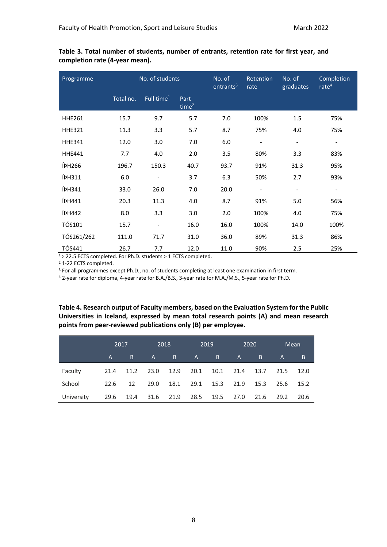| Programme          | No. of students |                              | No. of<br>entrants <sup>3</sup> | Retention<br>rate | No. of<br>graduates      | Completion<br>rate <sup>4</sup> |                          |
|--------------------|-----------------|------------------------------|---------------------------------|-------------------|--------------------------|---------------------------------|--------------------------|
|                    | Total no.       | Full time <sup>1</sup>       | Part<br>time <sup>2</sup>       |                   |                          |                                 |                          |
| <b>HHE261</b>      | 15.7            | 9.7                          | 5.7                             | 7.0               | 100%                     | 1.5                             | 75%                      |
| <b>HHE321</b>      | 11.3            | 3.3                          | 5.7                             | 8.7               | 75%                      | 4.0                             | 75%                      |
| <b>HHE341</b>      | 12.0            | 3.0                          | 7.0                             | 6.0               | $\overline{\phantom{a}}$ | $\overline{\phantom{a}}$        | $\overline{\phantom{a}}$ |
| <b>HHE441</b>      | 7.7             | 4.0                          | 2.0                             | 3.5               | 80%                      | 3.3                             | 83%                      |
| ÍPH <sub>266</sub> | 196.7           | 150.3                        | 40.7                            | 93.7              | 91%                      | 31.3                            | 95%                      |
| ÍPH311             | 6.0             | $\overline{\phantom{a}}$     | 3.7                             | 6.3               | 50%                      | 2.7                             | 93%                      |
| ÍPH341             | 33.0            | 26.0                         | 7.0                             | 20.0              |                          |                                 |                          |
| ÍPH441             | 20.3            | 11.3                         | 4.0                             | 8.7               | 91%                      | 5.0                             | 56%                      |
| <b>ÍPH442</b>      | 8.0             | 3.3                          | 3.0                             | 2.0               | 100%                     | 4.0                             | 75%                      |
| <b>TÓS101</b>      | 15.7            | $\qquad \qquad \blacksquare$ | 16.0                            | 16.0              | 100%                     | 14.0                            | 100%                     |
| TÓS261/262         | 111.0           | 71.7                         | 31.0                            | 36.0              | 89%                      | 31.3                            | 86%                      |
| <b>TÓS441</b>      | 26.7            | 7.7                          | 12.0                            | 11.0              | 90%                      | 2.5                             | 25%                      |

**Table 3. Total number of students, number of entrants, retention rate for first year, and completion rate (4-year mean).**

1 > 22.5 ECTS completed. For Ph.D. students > 1 ECTS completed.

<sup>2</sup> 1-22 ECTS completed.

<sup>3</sup> For all programmes except Ph.D., no. of students completing at least one examination in first term.

<sup>4</sup> 2-year rate for diploma, 4-year rate for B.A./B.S., 3-year rate for M.A./M.S., 5-year rate for Ph.D.

**Table 4. Research output of Faculty members, based on the Evaluation System for the Public Universities in Iceland, expressed by mean total research points (A) and mean research points from peer-reviewed publications only (B) per employee.**

|            |      | 2017 |                                    | 2018 |                | 2019           |      | 2020 |              | Mean      |
|------------|------|------|------------------------------------|------|----------------|----------------|------|------|--------------|-----------|
|            | A    | B    | $A$ and $A$                        | B.   | A              | $\overline{B}$ | A    | B.   | $\mathsf{A}$ | B         |
| Faculty    | 21.4 |      | 11.2 23.0 12.9 20.1 10.1 21.4 13.7 |      |                |                |      |      | 21.5 12.0    |           |
| School     | 22.6 | 12   | 29.0                               |      | 18.1 29.1 15.3 |                | 21.9 | 15.3 |              | 25.6 15.2 |
| University | 29.6 |      | 19.4 31.6                          | 21.9 | 28.5           | 19.5           | 27.0 | 21.6 | 29.2         | 20.6      |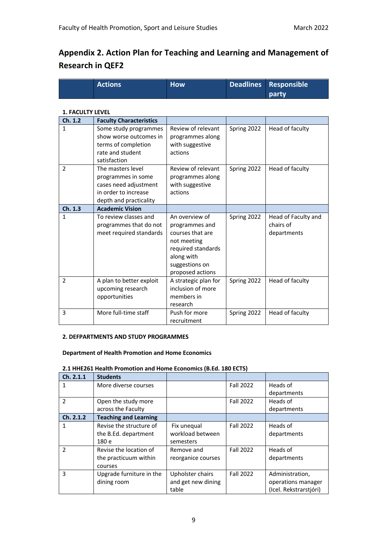# **Appendix 2. Action Plan for Teaching and Learning and Management of Research in QEF2**

| Actions b | <b>How</b> | Deadlines Responsible |
|-----------|------------|-----------------------|
|           |            | party                 |

### **1. FACULTY LEVEL**

| Ch. 1.2        | <b>Faculty Characteristics</b>                                                                                     |                                                                                                                                               |             |                                                 |
|----------------|--------------------------------------------------------------------------------------------------------------------|-----------------------------------------------------------------------------------------------------------------------------------------------|-------------|-------------------------------------------------|
| 1              | Some study programmes<br>show worse outcomes in<br>terms of completion<br>rate and student<br>satisfaction         | Review of relevant<br>programmes along<br>with suggestive<br>actions                                                                          | Spring 2022 | Head of faculty                                 |
| $\overline{2}$ | The masters level<br>programmes in some<br>cases need adjustment<br>in order to increase<br>depth and practicality | Review of relevant<br>programmes along<br>with suggestive<br>actions                                                                          | Spring 2022 | Head of faculty                                 |
| Ch. 1.3        | <b>Academic Vision</b>                                                                                             |                                                                                                                                               |             |                                                 |
| 1              | To review classes and<br>programmes that do not<br>meet required standards                                         | An overview of<br>programmes and<br>courses that are<br>not meeting<br>required standards<br>along with<br>suggestions on<br>proposed actions | Spring 2022 | Head of Faculty and<br>chairs of<br>departments |
| $\overline{2}$ | A plan to better exploit<br>upcoming research<br>opportunities                                                     | A strategic plan for<br>inclusion of more<br>members in<br>research                                                                           | Spring 2022 | Head of faculty                                 |
| 3              | More full-time staff                                                                                               | Push for more<br>recruitment                                                                                                                  | Spring 2022 | Head of faculty                                 |

#### **2. DEFPARTMENTS AND STUDY PROGRAMMES**

#### **Department of Health Promotion and Home Economics**

| <b>Students</b>              |                    |                  |                        |
|------------------------------|--------------------|------------------|------------------------|
| More diverse courses         |                    | <b>Fall 2022</b> | Heads of               |
|                              |                    |                  | departments            |
| Open the study more          |                    | <b>Fall 2022</b> | Heads of               |
| across the Faculty           |                    |                  | departments            |
| <b>Teaching and Learning</b> |                    |                  |                        |
| Revise the structure of      | Fix unequal        | <b>Fall 2022</b> | Heads of               |
| the B.Ed. department         | workload between   |                  | departments            |
| 180 e                        | semesters          |                  |                        |
| Revise the location of       | Remove and         | <b>Fall 2022</b> | Heads of               |
| the practicuum within        | reorganice courses |                  | departments            |
| courses                      |                    |                  |                        |
| Upgrade furniture in the     | Upholster chairs   | <b>Fall 2022</b> | Administration,        |
| dining room                  | and get new dining |                  | operations manager     |
|                              | table              |                  | (Icel. Rekstrarstjóri) |
|                              |                    |                  |                        |

#### **2.1 HHE261 Health Promotion and Home Economics (B.Ed. 180 ECTS)**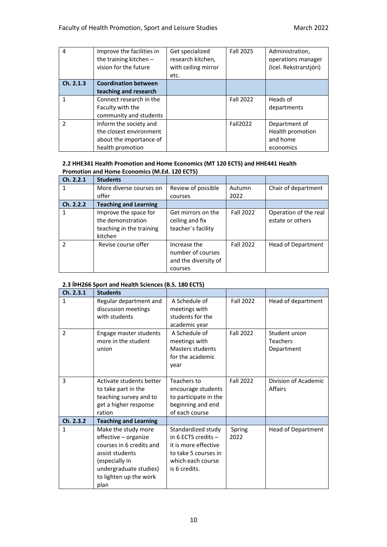| 4             | Improve the facilities in<br>the training kitchen $-$<br>vision for the future | Get specialized<br>research kitchen,<br>with ceiling mirror<br>etc. | Fall 2025        | Administration,<br>operations manager<br>(Icel. Rekstrarstjóri) |
|---------------|--------------------------------------------------------------------------------|---------------------------------------------------------------------|------------------|-----------------------------------------------------------------|
| Ch. 2.1.3     | <b>Coordination between</b>                                                    |                                                                     |                  |                                                                 |
|               | teaching and research                                                          |                                                                     |                  |                                                                 |
|               | Connect research in the                                                        |                                                                     | <b>Fall 2022</b> | Heads of                                                        |
|               | Faculty with the                                                               |                                                                     |                  | departments                                                     |
|               | community and students                                                         |                                                                     |                  |                                                                 |
| $\mathcal{P}$ | Inform the society and                                                         |                                                                     | Fall2022         | Department of                                                   |
|               | the closest environment                                                        |                                                                     |                  | Health promotion                                                |
|               | about the importance of                                                        |                                                                     |                  | and home                                                        |
|               | health promotion                                                               |                                                                     |                  | economics                                                       |

### **2.2 HHE341 Health Promotion and Home Economics (MT 120 ECTS) and HHE441 Health Promotion and Home Economics (M.Ed. 120 ECTS)**

| Ch. 2.2.1      | <b>Students</b>                                                                   |                                                                      |                  |                                           |
|----------------|-----------------------------------------------------------------------------------|----------------------------------------------------------------------|------------------|-------------------------------------------|
|                | More diverse courses on                                                           | Review of possible                                                   | Autumn           | Chair of department                       |
|                | offer                                                                             | courses                                                              | 2022             |                                           |
| Ch. 2.2.2      | <b>Teaching and Learning</b>                                                      |                                                                      |                  |                                           |
|                | Improve the space for<br>the demonstration<br>teaching in the training<br>kitchen | Get mirrors on the<br>ceiling and fix<br>teacher's facility          | <b>Fall 2022</b> | Operation of the real<br>estate or others |
| $\mathfrak{p}$ | Revise course offer                                                               | Increase the<br>number of courses<br>and the diversity of<br>courses | <b>Fall 2022</b> | <b>Head of Department</b>                 |

### **2.3 ÍÞH266 Sport and Health Sciences (B.S. 180 ECTS)**

| Ch. 2.3.1     | <b>Students</b>              |                       |                  |                      |
|---------------|------------------------------|-----------------------|------------------|----------------------|
| 1             | Regular department and       | A Schedule of         | <b>Fall 2022</b> | Head of department   |
|               | discussion meetings          | meetings with         |                  |                      |
|               | with students                | students for the      |                  |                      |
|               |                              | academic year         |                  |                      |
| $\mathcal{P}$ | Engage master students       | A Schedule of         | <b>Fall 2022</b> | Student union        |
|               | more in the student          | meetings with         |                  | <b>Teachers</b>      |
|               | union                        | Masters students      |                  | Department           |
|               |                              | for the academic      |                  |                      |
|               |                              | year                  |                  |                      |
|               |                              |                       |                  |                      |
| 3             | Activate students better     | Teachers to           | <b>Fall 2022</b> | Division of Academic |
|               | to take part in the          | encourage students    |                  | Affairs              |
|               | teaching survey and to       | to participate in the |                  |                      |
|               | get a higher response        | beginning and end     |                  |                      |
|               | ration                       | of each course        |                  |                      |
| Ch. 2.3.2     | <b>Teaching and Learning</b> |                       |                  |                      |
| 1             | Make the study more          | Standardized study    | Spring           | Head of Department   |
|               | effective - organize         | in 6 ECTS credits $-$ | 2022             |                      |
|               | courses in 6 credits and     | it is more effective  |                  |                      |
|               | assist students              | to take 5 courses in  |                  |                      |
|               | (especially in               | which each course     |                  |                      |
|               | undergraduate studies)       | is 6 credits.         |                  |                      |
|               | to lighten up the work       |                       |                  |                      |
|               | plan                         |                       |                  |                      |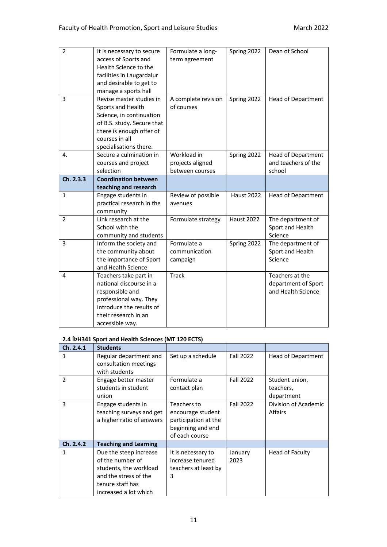| $\overline{2}$ | It is necessary to secure                          | Formulate a long-   | Spring 2022       | Dean of School            |
|----------------|----------------------------------------------------|---------------------|-------------------|---------------------------|
|                | access of Sports and                               | term agreement      |                   |                           |
|                | Health Science to the                              |                     |                   |                           |
|                | facilities in Laugardalur                          |                     |                   |                           |
|                | and desirable to get to                            |                     |                   |                           |
|                | manage a sports hall                               |                     |                   |                           |
| 3              | Revise master studies in                           | A complete revision | Spring 2022       | <b>Head of Department</b> |
|                | Sports and Health                                  | of courses          |                   |                           |
|                | Science, in continuation                           |                     |                   |                           |
|                | of B.S. study. Secure that                         |                     |                   |                           |
|                | there is enough offer of                           |                     |                   |                           |
|                | courses in all                                     |                     |                   |                           |
|                | specialisations there.                             |                     |                   |                           |
| 4.             | Secure a culmination in                            | Workload in         | Spring 2022       | <b>Head of Department</b> |
|                | courses and project                                | projects aligned    |                   | and teachers of the       |
|                | selection                                          | between courses     |                   | school                    |
| Ch. 2.3.3      | <b>Coordination between</b>                        |                     |                   |                           |
|                | teaching and research                              |                     |                   |                           |
| $\mathbf{1}$   | Engage students in                                 | Review of possible  | <b>Haust 2022</b> | Head of Department        |
|                | practical research in the                          | avenues             |                   |                           |
|                | community                                          |                     |                   |                           |
| 2              | Link research at the                               | Formulate strategy  | <b>Haust 2022</b> | The department of         |
|                | School with the                                    |                     |                   | Sport and Health          |
|                | community and students                             |                     |                   | Science                   |
| 3              | Inform the society and                             | Formulate a         | Spring 2022       | The department of         |
|                | the community about                                | communication       |                   | Sport and Health          |
|                | the importance of Sport                            | campaign            |                   | Science                   |
|                | and Health Science                                 |                     |                   |                           |
| 4              | Teachers take part in                              | <b>Track</b>        |                   | Teachers at the           |
|                | national discourse in a                            |                     |                   | department of Sport       |
|                |                                                    |                     |                   |                           |
|                |                                                    |                     |                   | and Health Science        |
|                | responsible and                                    |                     |                   |                           |
|                | professional way. They<br>introduce the results of |                     |                   |                           |
|                | their research in an                               |                     |                   |                           |

# **2.4 ÍÞH341 Sport and Health Sciences (MT 120 ECTS)**

| Ch. 2.4.1     | <b>Students</b>                                                                                                                            |                                                                                                 |                  |                                           |
|---------------|--------------------------------------------------------------------------------------------------------------------------------------------|-------------------------------------------------------------------------------------------------|------------------|-------------------------------------------|
| 1             | Regular department and<br>consultation meetings<br>with students                                                                           | Set up a schedule                                                                               | <b>Fall 2022</b> | <b>Head of Department</b>                 |
| $\mathcal{P}$ | Engage better master<br>students in student<br>union                                                                                       | Formulate a<br>contact plan                                                                     | <b>Fall 2022</b> | Student union,<br>teachers,<br>department |
| 3             | Engage students in<br>teaching surveys and get<br>a higher ratio of answers                                                                | Teachers to<br>encourage student<br>participation at the<br>beginning and end<br>of each course | <b>Fall 2022</b> | Division of Academic<br><b>Affairs</b>    |
| Ch. 2.4.2     | <b>Teaching and Learning</b>                                                                                                               |                                                                                                 |                  |                                           |
| 1             | Due the steep increase<br>of the number of<br>students, the workload<br>and the stress of the<br>tenure staff has<br>increased a lot which | It is necessary to<br>increase tenured<br>teachers at least by<br>3                             | January<br>2023  | Head of Faculty                           |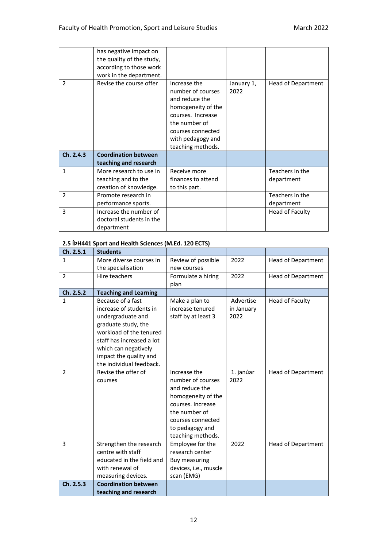| $\mathcal{P}$ | has negative impact on<br>the quality of the study,<br>according to those work<br>work in the department.<br>Revise the course offer | Increase the<br>number of courses<br>and reduce the<br>homogeneity of the<br>courses. Increase<br>the number of<br>courses connected<br>with pedagogy and | January 1,<br>2022 | <b>Head of Department</b> |
|---------------|--------------------------------------------------------------------------------------------------------------------------------------|-----------------------------------------------------------------------------------------------------------------------------------------------------------|--------------------|---------------------------|
| Ch. 2.4.3     | <b>Coordination between</b>                                                                                                          | teaching methods.                                                                                                                                         |                    |                           |
|               | teaching and research                                                                                                                |                                                                                                                                                           |                    |                           |
| $\mathbf{1}$  |                                                                                                                                      |                                                                                                                                                           |                    |                           |
|               | More research to use in                                                                                                              | Receive more                                                                                                                                              |                    | Teachers in the           |
|               | teaching and to the                                                                                                                  | finances to attend                                                                                                                                        |                    | department                |
|               | creation of knowledge.                                                                                                               | to this part.                                                                                                                                             |                    |                           |
| 2             | Promote research in                                                                                                                  |                                                                                                                                                           |                    | Teachers in the           |
|               | performance sports.                                                                                                                  |                                                                                                                                                           |                    | department                |
| 3             | Increase the number of<br>doctoral students in the<br>department                                                                     |                                                                                                                                                           |                    | Head of Faculty           |

# **2.5 ÍÞH441 Sport and Health Sciences (M.Ed. 120 ECTS)**

| Ch. 2.5.1      | <b>Students</b>              |                       |            |                           |
|----------------|------------------------------|-----------------------|------------|---------------------------|
| $\mathbf{1}$   | More diverse courses in      | Review of possible    | 2022       | <b>Head of Department</b> |
|                | the specialisation           | new courses           |            |                           |
| $\overline{2}$ | Hire teachers                | Formulate a hiring    | 2022       | <b>Head of Department</b> |
|                |                              | plan                  |            |                           |
| Ch. 2.5.2      | <b>Teaching and Learning</b> |                       |            |                           |
| $\mathbf{1}$   | Because of a fast            | Make a plan to        | Advertise  | <b>Head of Faculty</b>    |
|                | increase of students in      | increase tenured      | in January |                           |
|                | undergraduate and            | staff by at least 3   | 2022       |                           |
|                | graduate study, the          |                       |            |                           |
|                | workload of the tenured      |                       |            |                           |
|                | staff has increased a lot    |                       |            |                           |
|                | which can negatively         |                       |            |                           |
|                | impact the quality and       |                       |            |                           |
|                | the individual feedback.     |                       |            |                           |
| 2              | Revise the offer of          | Increase the          | 1. janúar  | <b>Head of Department</b> |
|                | courses                      | number of courses     | 2022       |                           |
|                |                              | and reduce the        |            |                           |
|                |                              | homogeneity of the    |            |                           |
|                |                              | courses. Increase     |            |                           |
|                |                              | the number of         |            |                           |
|                |                              | courses connected     |            |                           |
|                |                              | to pedagogy and       |            |                           |
|                |                              | teaching methods.     |            |                           |
| 3              | Strengthen the research      | Employee for the      | 2022       | <b>Head of Department</b> |
|                | centre with staff            | research center       |            |                           |
|                | educated in the field and    | <b>Buy measuring</b>  |            |                           |
|                | with renewal of              | devices, i.e., muscle |            |                           |
|                | measuring devices.           | scan (EMG)            |            |                           |
| Ch. 2.5.3      | <b>Coordination between</b>  |                       |            |                           |
|                | teaching and research        |                       |            |                           |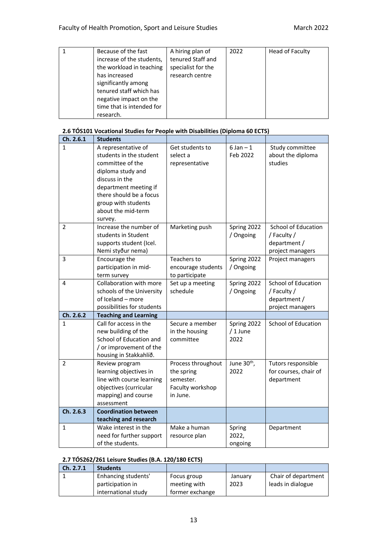| Because of the fast       | A hiring plan of   | 2022 | Head of Faculty |
|---------------------------|--------------------|------|-----------------|
| increase of the students, | tenured Staff and  |      |                 |
| the workload in teaching  | specialist for the |      |                 |
| has increased             | research centre    |      |                 |
| significantly among       |                    |      |                 |
| tenured staff which has   |                    |      |                 |
| negative impact on the    |                    |      |                 |
| time that is intended for |                    |      |                 |
| research.                 |                    |      |                 |

### **2.6 TÓS101 Vocational Studies for People with Disabilities (Diploma 60 ECTS)**

| Ch. 2.6.1      | <b>Students</b>                                                                                                                                                                                                       |                                                                               |                                 |                                                                        |
|----------------|-----------------------------------------------------------------------------------------------------------------------------------------------------------------------------------------------------------------------|-------------------------------------------------------------------------------|---------------------------------|------------------------------------------------------------------------|
| 1              | A representative of<br>students in the student<br>committee of the<br>diploma study and<br>discuss in the<br>department meeting if<br>there should be a focus<br>group with students<br>about the mid-term<br>survey. | Get students to<br>select a<br>representative                                 | $6 Jan - 1$<br>Feb 2022         | Study committee<br>about the diploma<br>studies                        |
| 2              | Increase the number of<br>students in Student<br>supports student (Icel.<br>Nemi styður nema)                                                                                                                         | Marketing push                                                                | Spring 2022<br>/ Ongoing        | School of Education<br>/ Faculty /<br>department /<br>project managers |
| 3              | Encourage the<br>participation in mid-<br>term survey                                                                                                                                                                 | Teachers to<br>encourage students<br>to participate                           | Spring 2022<br>/ Ongoing        | Project managers                                                       |
| 4              | Collaboration with more<br>schools of the University<br>of Iceland - more<br>possibilities for students                                                                                                               | Set up a meeting<br>schedule                                                  | Spring 2022<br>/ Ongoing        | School of Education<br>/ Faculty /<br>department /<br>project managers |
| Ch. 2.6.2      | <b>Teaching and Learning</b>                                                                                                                                                                                          |                                                                               |                                 |                                                                        |
| 1              | Call for access in the<br>new building of the<br>School of Education and<br>/ or improvement of the<br>housing in Stakkahlíð.                                                                                         | Secure a member<br>in the housing<br>committee                                | Spring 2022<br>/1 June<br>2022  | School of Education                                                    |
| $\overline{2}$ | Review program<br>learning objectives in<br>line with course learning<br>objectives (curricular<br>mapping) and course<br>assessment                                                                                  | Process throughout<br>the spring<br>semester.<br>Faculty workshop<br>in June. | June 30 <sup>th</sup> ,<br>2022 | Tutors responsible<br>for courses, chair of<br>department              |
| Ch. 2.6.3      | <b>Coordination between</b>                                                                                                                                                                                           |                                                                               |                                 |                                                                        |
|                | teaching and research                                                                                                                                                                                                 |                                                                               |                                 |                                                                        |
| 1              | Wake interest in the<br>need for further support<br>of the students.                                                                                                                                                  | Make a human<br>resource plan                                                 | Spring<br>2022,<br>ongoing      | Department                                                             |

### **2.7 TÓS262/261 Leisure Studies (B.A. 120/180 ECTS)**

| Ch. 2.7.1 | <b>Students</b>     |                 |         |                     |
|-----------|---------------------|-----------------|---------|---------------------|
|           | Enhancing students' | Focus group     | January | Chair of department |
|           | participation in    | meeting with    | 2023    | leads in dialogue   |
|           | international study | former exchange |         |                     |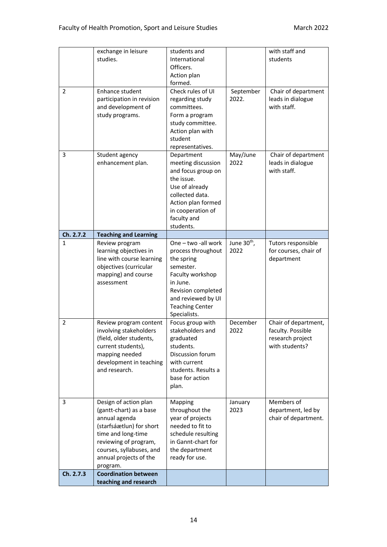| May/June<br>Chair of department<br>3<br>Student agency<br>Department<br>2022<br>enhancement plan.<br>meeting discussion<br>leads in dialogue<br>and focus group on<br>with staff.<br>the issue.<br>Use of already<br>collected data.<br>Action plan formed<br>in cooperation of<br>faculty and<br>students.<br>Ch. 2.7.2<br><b>Teaching and Learning</b><br>One - two -all work<br>June 30 <sup>th</sup> ,<br>Review program<br>Tutors responsible<br>1<br>2022<br>learning objectives in<br>process throughout<br>for courses, chair of<br>line with course learning<br>the spring<br>department<br>objectives (curricular<br>semester.<br>mapping) and course<br>Faculty workshop<br>assessment<br>in June.<br>Revision completed<br>and reviewed by UI<br><b>Teaching Center</b><br>Specialists.<br>Focus group with<br>Chair of department,<br>$\overline{2}$<br>December<br>Review program content<br>stakeholders and<br>2022<br>faculty. Possible<br>involving stakeholders<br>(field, older students,<br>graduated<br>research project<br>with students?<br>current students),<br>students.<br>Discussion forum<br>mapping needed<br>development in teaching<br>with current<br>and research.<br>students. Results a<br>base for action<br>plan.<br>Members of<br>Design of action plan<br>Mapping<br>3<br>January<br>throughout the<br>department, led by<br>(gantt-chart) as a base<br>2023<br>chair of department.<br>annual agenda<br>year of projects<br>(starfsáætlun) for short<br>needed to fit to<br>time and long-time<br>schedule resulting<br>in Gannt-chart for<br>reviewing of program,<br>courses, syllabuses, and<br>the department<br>annual projects of the<br>ready for use.<br>program.<br>Ch. 2.7.3<br><b>Coordination between</b> | $\overline{2}$ | exchange in leisure<br>studies.<br>Enhance student<br>participation in revision<br>and development of<br>study programs. | students and<br>International<br>Officers.<br>Action plan<br>formed.<br>Check rules of UI<br>regarding study<br>committees.<br>Form a program<br>study committee.<br>Action plan with<br>student<br>representatives. | September<br>2022. | with staff and<br>students<br>Chair of department<br>leads in dialogue<br>with staff. |
|-----------------------------------------------------------------------------------------------------------------------------------------------------------------------------------------------------------------------------------------------------------------------------------------------------------------------------------------------------------------------------------------------------------------------------------------------------------------------------------------------------------------------------------------------------------------------------------------------------------------------------------------------------------------------------------------------------------------------------------------------------------------------------------------------------------------------------------------------------------------------------------------------------------------------------------------------------------------------------------------------------------------------------------------------------------------------------------------------------------------------------------------------------------------------------------------------------------------------------------------------------------------------------------------------------------------------------------------------------------------------------------------------------------------------------------------------------------------------------------------------------------------------------------------------------------------------------------------------------------------------------------------------------------------------------------------------------------------------------------------------------------------|----------------|--------------------------------------------------------------------------------------------------------------------------|----------------------------------------------------------------------------------------------------------------------------------------------------------------------------------------------------------------------|--------------------|---------------------------------------------------------------------------------------|
|                                                                                                                                                                                                                                                                                                                                                                                                                                                                                                                                                                                                                                                                                                                                                                                                                                                                                                                                                                                                                                                                                                                                                                                                                                                                                                                                                                                                                                                                                                                                                                                                                                                                                                                                                                 |                |                                                                                                                          |                                                                                                                                                                                                                      |                    |                                                                                       |
|                                                                                                                                                                                                                                                                                                                                                                                                                                                                                                                                                                                                                                                                                                                                                                                                                                                                                                                                                                                                                                                                                                                                                                                                                                                                                                                                                                                                                                                                                                                                                                                                                                                                                                                                                                 |                |                                                                                                                          |                                                                                                                                                                                                                      |                    |                                                                                       |
|                                                                                                                                                                                                                                                                                                                                                                                                                                                                                                                                                                                                                                                                                                                                                                                                                                                                                                                                                                                                                                                                                                                                                                                                                                                                                                                                                                                                                                                                                                                                                                                                                                                                                                                                                                 |                |                                                                                                                          |                                                                                                                                                                                                                      |                    |                                                                                       |
|                                                                                                                                                                                                                                                                                                                                                                                                                                                                                                                                                                                                                                                                                                                                                                                                                                                                                                                                                                                                                                                                                                                                                                                                                                                                                                                                                                                                                                                                                                                                                                                                                                                                                                                                                                 |                |                                                                                                                          |                                                                                                                                                                                                                      |                    |                                                                                       |
|                                                                                                                                                                                                                                                                                                                                                                                                                                                                                                                                                                                                                                                                                                                                                                                                                                                                                                                                                                                                                                                                                                                                                                                                                                                                                                                                                                                                                                                                                                                                                                                                                                                                                                                                                                 |                |                                                                                                                          |                                                                                                                                                                                                                      |                    |                                                                                       |
|                                                                                                                                                                                                                                                                                                                                                                                                                                                                                                                                                                                                                                                                                                                                                                                                                                                                                                                                                                                                                                                                                                                                                                                                                                                                                                                                                                                                                                                                                                                                                                                                                                                                                                                                                                 |                | teaching and research                                                                                                    |                                                                                                                                                                                                                      |                    |                                                                                       |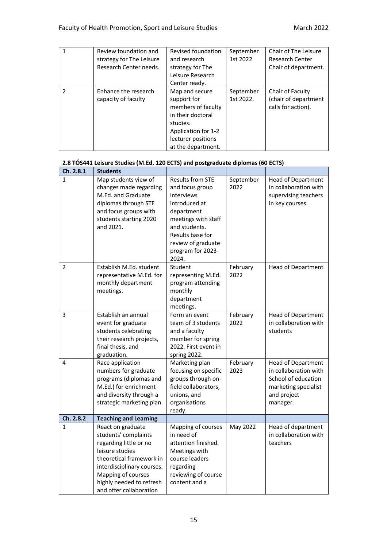|                | Review foundation and<br>strategy for The Leisure<br>Research Center needs. | Revised foundation<br>and research<br>strategy for The<br>Leisure Research<br>Center ready.                                                             | September<br>1st 2022  | Chair of The Leisure<br><b>Research Center</b><br>Chair of department. |
|----------------|-----------------------------------------------------------------------------|---------------------------------------------------------------------------------------------------------------------------------------------------------|------------------------|------------------------------------------------------------------------|
| $\mathfrak{p}$ | Enhance the research<br>capacity of faculty                                 | Map and secure<br>support for<br>members of faculty<br>in their doctoral<br>studies.<br>Application for 1-2<br>lecturer positions<br>at the department. | September<br>1st 2022. | Chair of Faculty<br>(chair of department<br>calls for action).         |

# **2.8 TÓS441 Leisure Studies (M.Ed. 120 ECTS) and postgraduate diplomas (60 ECTS)**

| Ch. 2.8.1    | <b>Students</b>                                                                                                                                                                                                               |                                                                                                                                                                                                         |                   |                                                                                                                              |
|--------------|-------------------------------------------------------------------------------------------------------------------------------------------------------------------------------------------------------------------------------|---------------------------------------------------------------------------------------------------------------------------------------------------------------------------------------------------------|-------------------|------------------------------------------------------------------------------------------------------------------------------|
| $\mathbf{1}$ | Map students view of<br>changes made regarding<br>M.Ed. and Graduate<br>diplomas through STE<br>and focus groups with<br>students starting 2020<br>and 2021.                                                                  | <b>Results from STE</b><br>and focus group<br>interviews<br>introduced at<br>department<br>meetings with staff<br>and students.<br>Results base for<br>review of graduate<br>program for 2023-<br>2024. | September<br>2022 | Head of Department<br>in collaboration with<br>supervising teachers<br>in key courses.                                       |
| 2            | Establish M.Ed. student<br>representative M.Ed. for<br>monthly department<br>meetings.                                                                                                                                        | Student<br>representing M.Ed.<br>program attending<br>monthly<br>department<br>meetings.                                                                                                                | February<br>2022  | <b>Head of Department</b>                                                                                                    |
| 3            | Establish an annual<br>event for graduate<br>students celebrating<br>their research projects,<br>final thesis, and<br>graduation.                                                                                             | Form an event<br>team of 3 students<br>and a faculty<br>member for spring<br>2022. First event in<br>spring 2022.                                                                                       | February<br>2022  | Head of Department<br>in collaboration with<br>students                                                                      |
| 4            | Race application<br>numbers for graduate<br>programs (diplomas and<br>M.Ed.) for enrichment<br>and diversity through a<br>strategic marketing plan.                                                                           | Marketing plan<br>focusing on specific<br>groups through on-<br>field collaborators,<br>unions, and<br>organisations<br>ready.                                                                          | February<br>2023  | <b>Head of Department</b><br>in collaboration with<br>School of education<br>marketing specialist<br>and project<br>manager. |
| Ch. 2.8.2    | <b>Teaching and Learning</b>                                                                                                                                                                                                  |                                                                                                                                                                                                         |                   |                                                                                                                              |
| $\mathbf{1}$ | React on graduate<br>students' complaints<br>regarding little or no<br>leisure studies<br>theoretical framework in<br>interdisciplinary courses.<br>Mapping of courses<br>highly needed to refresh<br>and offer collaboration | Mapping of courses<br>in need of<br>attention finished.<br>Meetings with<br>course leaders<br>regarding<br>reviewing of course<br>content and a                                                         | May 2022          | Head of department<br>in collaboration with<br>teachers                                                                      |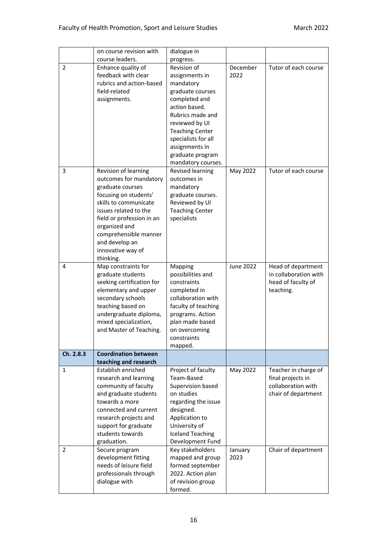|                | on course revision with                     | dialogue in                      |                  |                                         |
|----------------|---------------------------------------------|----------------------------------|------------------|-----------------------------------------|
|                | course leaders.                             | progress.                        |                  |                                         |
| $\overline{2}$ | Enhance quality of                          | Revision of                      | December         | Tutor of each course                    |
|                | feedback with clear                         | assignments in                   | 2022             |                                         |
|                | rubrics and action-based                    | mandatory                        |                  |                                         |
|                | field-related                               | graduate courses                 |                  |                                         |
|                | assignments.                                | completed and                    |                  |                                         |
|                |                                             | action based.                    |                  |                                         |
|                |                                             | Rubrics made and                 |                  |                                         |
|                |                                             | reviewed by UI                   |                  |                                         |
|                |                                             | <b>Teaching Center</b>           |                  |                                         |
|                |                                             | specialists for all              |                  |                                         |
|                |                                             | assignments in                   |                  |                                         |
|                |                                             | graduate program                 |                  |                                         |
|                |                                             | mandatory courses.               |                  |                                         |
| 3              | Revision of learning                        | Revised learning                 | May 2022         | Tutor of each course                    |
|                | outcomes for mandatory                      | outcomes in                      |                  |                                         |
|                | graduate courses                            | mandatory                        |                  |                                         |
|                | focusing on students'                       | graduate courses.                |                  |                                         |
|                | skills to communicate                       | Reviewed by UI                   |                  |                                         |
|                | issues related to the                       | <b>Teaching Center</b>           |                  |                                         |
|                | field or profession in an                   | specialists                      |                  |                                         |
|                | organized and                               |                                  |                  |                                         |
|                | comprehensible manner                       |                                  |                  |                                         |
|                | and develop an                              |                                  |                  |                                         |
|                | innovative way of<br>thinking.              |                                  |                  |                                         |
| 4              | Map constraints for                         | Mapping                          | <b>June 2022</b> | Head of department                      |
|                | graduate students                           | possibilities and                |                  | in collaboration with                   |
|                | seeking certification for                   | constraints                      |                  | head of faculty of                      |
|                | elementary and upper                        | completed in                     |                  | teaching.                               |
|                | secondary schools                           | collaboration with               |                  |                                         |
|                | teaching based on                           | faculty of teaching              |                  |                                         |
|                | undergraduate diploma,                      | programs. Action                 |                  |                                         |
|                | mixed specialization,                       | plan made based                  |                  |                                         |
|                | and Master of Teaching.                     | on overcoming                    |                  |                                         |
|                |                                             | constraints                      |                  |                                         |
|                |                                             | mapped.                          |                  |                                         |
| Ch. 2.8.3      | <b>Coordination between</b>                 |                                  |                  |                                         |
|                | teaching and research                       |                                  |                  |                                         |
| 1              | Establish enriched<br>research and learning | Project of faculty<br>Team-Based | May 2022         | Teacher in charge of                    |
|                | community of faculty                        | Supervision based                |                  | final projects in<br>collaboration with |
|                | and graduate students                       | on studies                       |                  | chair of department                     |
|                | towards a more                              | regarding the issue              |                  |                                         |
|                | connected and current                       | designed.                        |                  |                                         |
|                | research projects and                       | Application to                   |                  |                                         |
|                | support for graduate                        | University of                    |                  |                                         |
|                | students towards                            | <b>Iceland Teaching</b>          |                  |                                         |
|                | graduation.                                 | Development Fund                 |                  |                                         |
| 2              | Secure program                              | Key stakeholders                 | January          | Chair of department                     |
|                | development fitting                         | mapped and group                 | 2023             |                                         |
|                | needs of leisure field                      | formed september                 |                  |                                         |
|                | professionals through                       | 2022. Action plan                |                  |                                         |
|                | dialogue with                               | of revision group                |                  |                                         |
|                |                                             | formed.                          |                  |                                         |